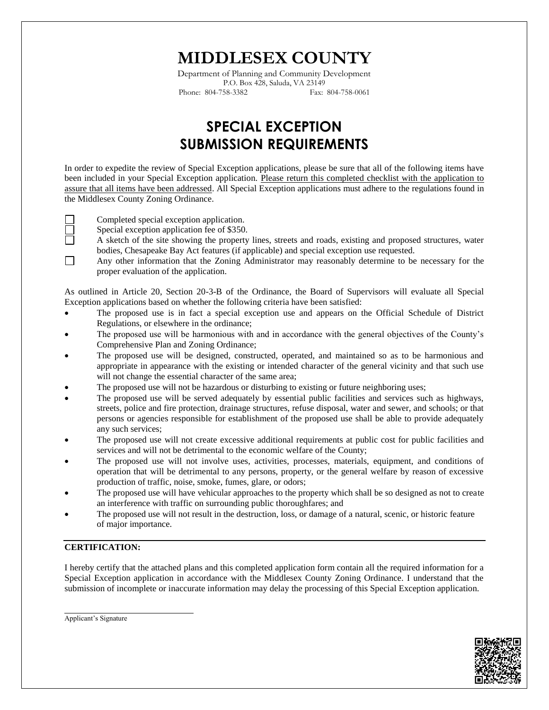# **MIDDLESEX COUNTY**

Department of Planning and Community Development P.O. Box 428, Saluda, VA 23149 Phone: 804-758-3382 Fax: 804-758-0061

## **SPECIAL EXCEPTION SUBMISSION REQUIREMENTS**

In order to expedite the review of Special Exception applications, please be sure that all of the following items have been included in your Special Exception application. Please return this completed checklist with the application to assure that all items have been addressed. All Special Exception applications must adhere to the regulations found in the Middlesex County Zoning Ordinance.



- Special exception application fee of \$350.
- A sketch of the site showing the property lines, streets and roads, existing and proposed structures, water bodies, Chesapeake Bay Act features (if applicable) and special exception use requested.
- $\Box$ Any other information that the Zoning Administrator may reasonably determine to be necessary for the proper evaluation of the application.

As outlined in Article 20, Section 20-3-B of the Ordinance, the Board of Supervisors will evaluate all Special Exception applications based on whether the following criteria have been satisfied:

- The proposed use is in fact a special exception use and appears on the Official Schedule of District Regulations, or elsewhere in the ordinance;
- The proposed use will be harmonious with and in accordance with the general objectives of the County's Comprehensive Plan and Zoning Ordinance;
- The proposed use will be designed, constructed, operated, and maintained so as to be harmonious and appropriate in appearance with the existing or intended character of the general vicinity and that such use will not change the essential character of the same area;
- The proposed use will not be hazardous or disturbing to existing or future neighboring uses;
- The proposed use will be served adequately by essential public facilities and services such as highways, streets, police and fire protection, drainage structures, refuse disposal, water and sewer, and schools; or that persons or agencies responsible for establishment of the proposed use shall be able to provide adequately any such services;
- The proposed use will not create excessive additional requirements at public cost for public facilities and services and will not be detrimental to the economic welfare of the County;
- The proposed use will not involve uses, activities, processes, materials, equipment, and conditions of operation that will be detrimental to any persons, property, or the general welfare by reason of excessive production of traffic, noise, smoke, fumes, glare, or odors;
- The proposed use will have vehicular approaches to the property which shall be so designed as not to create an interference with traffic on surrounding public thoroughfares; and
- The proposed use will not result in the destruction, loss, or damage of a natural, scenic, or historic feature of major importance.

#### **CERTIFICATION:**

I hereby certify that the attached plans and this completed application form contain all the required information for a Special Exception application in accordance with the Middlesex County Zoning Ordinance. I understand that the submission of incomplete or inaccurate information may delay the processing of this Special Exception application.



Applicant's Signature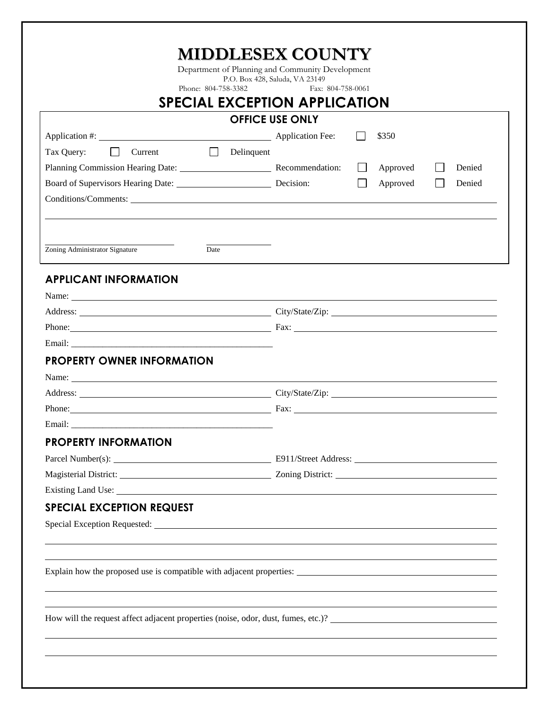| <b>SPECIAL EXCEPTION APPLICATION</b>                                                                                                                                                                                                                                                                                                                                                                          |                                                                                                                                                                                                                                |  |  |
|---------------------------------------------------------------------------------------------------------------------------------------------------------------------------------------------------------------------------------------------------------------------------------------------------------------------------------------------------------------------------------------------------------------|--------------------------------------------------------------------------------------------------------------------------------------------------------------------------------------------------------------------------------|--|--|
| <b>OFFICE USE ONLY</b>                                                                                                                                                                                                                                                                                                                                                                                        |                                                                                                                                                                                                                                |  |  |
|                                                                                                                                                                                                                                                                                                                                                                                                               | \$350                                                                                                                                                                                                                          |  |  |
| $\Box$<br>Tax Query:<br>Current                                                                                                                                                                                                                                                                                                                                                                               | $\Box$ Delinquent                                                                                                                                                                                                              |  |  |
| Planning Commission Hearing Date: Recommendation:                                                                                                                                                                                                                                                                                                                                                             | Approved<br>Denied<br>$\perp$                                                                                                                                                                                                  |  |  |
| Board of Supervisors Hearing Date: Decision:                                                                                                                                                                                                                                                                                                                                                                  | Approved<br>Denied                                                                                                                                                                                                             |  |  |
|                                                                                                                                                                                                                                                                                                                                                                                                               |                                                                                                                                                                                                                                |  |  |
|                                                                                                                                                                                                                                                                                                                                                                                                               |                                                                                                                                                                                                                                |  |  |
|                                                                                                                                                                                                                                                                                                                                                                                                               |                                                                                                                                                                                                                                |  |  |
| Zoning Administrator Signature<br>Date                                                                                                                                                                                                                                                                                                                                                                        |                                                                                                                                                                                                                                |  |  |
|                                                                                                                                                                                                                                                                                                                                                                                                               |                                                                                                                                                                                                                                |  |  |
| <b>APPLICANT INFORMATION</b>                                                                                                                                                                                                                                                                                                                                                                                  |                                                                                                                                                                                                                                |  |  |
| Name: $\frac{1}{\sqrt{1-\frac{1}{2}}\sqrt{1-\frac{1}{2}}\sqrt{1-\frac{1}{2}}\sqrt{1-\frac{1}{2}}\sqrt{1-\frac{1}{2}}\sqrt{1-\frac{1}{2}}\sqrt{1-\frac{1}{2}}\sqrt{1-\frac{1}{2}}\sqrt{1-\frac{1}{2}}\sqrt{1-\frac{1}{2}}\sqrt{1-\frac{1}{2}}\sqrt{1-\frac{1}{2}}\sqrt{1-\frac{1}{2}}\sqrt{1-\frac{1}{2}}\sqrt{1-\frac{1}{2}}\sqrt{1-\frac{1}{2}}\sqrt{1-\frac{1}{2}}\sqrt{1-\frac{1}{2}}\sqrt{1-\frac{1}{2}}$ |                                                                                                                                                                                                                                |  |  |
|                                                                                                                                                                                                                                                                                                                                                                                                               | Address: City/State/Zip: City/State/Zip:                                                                                                                                                                                       |  |  |
|                                                                                                                                                                                                                                                                                                                                                                                                               |                                                                                                                                                                                                                                |  |  |
|                                                                                                                                                                                                                                                                                                                                                                                                               |                                                                                                                                                                                                                                |  |  |
| <b>PROPERTY OWNER INFORMATION</b>                                                                                                                                                                                                                                                                                                                                                                             |                                                                                                                                                                                                                                |  |  |
| Name:                                                                                                                                                                                                                                                                                                                                                                                                         |                                                                                                                                                                                                                                |  |  |
|                                                                                                                                                                                                                                                                                                                                                                                                               | Address: City/State/Zip: City/State/Zip: 2014                                                                                                                                                                                  |  |  |
|                                                                                                                                                                                                                                                                                                                                                                                                               |                                                                                                                                                                                                                                |  |  |
| <b>PROPERTY INFORMATION</b>                                                                                                                                                                                                                                                                                                                                                                                   |                                                                                                                                                                                                                                |  |  |
|                                                                                                                                                                                                                                                                                                                                                                                                               |                                                                                                                                                                                                                                |  |  |
|                                                                                                                                                                                                                                                                                                                                                                                                               |                                                                                                                                                                                                                                |  |  |
|                                                                                                                                                                                                                                                                                                                                                                                                               |                                                                                                                                                                                                                                |  |  |
|                                                                                                                                                                                                                                                                                                                                                                                                               | Existing Land Use: 1988. The Contract of the Contract of the Contract of the Contract of the Contract of the Contract of the Contract of the Contract of the Contract of the Contract of the Contract of the Contract of the C |  |  |
| <b>SPECIAL EXCEPTION REQUEST</b>                                                                                                                                                                                                                                                                                                                                                                              |                                                                                                                                                                                                                                |  |  |
|                                                                                                                                                                                                                                                                                                                                                                                                               | Special Exception Requested: 1986 and 2008 and 2008 and 2008 and 2008 and 2008 and 2008 and 2008 and 2008 and 2008 and 2008 and 2008 and 2008 and 2008 and 2008 and 2008 and 2008 and 2008 and 2008 and 2008 and 2008 and 2008 |  |  |
|                                                                                                                                                                                                                                                                                                                                                                                                               |                                                                                                                                                                                                                                |  |  |
|                                                                                                                                                                                                                                                                                                                                                                                                               |                                                                                                                                                                                                                                |  |  |
|                                                                                                                                                                                                                                                                                                                                                                                                               |                                                                                                                                                                                                                                |  |  |
|                                                                                                                                                                                                                                                                                                                                                                                                               |                                                                                                                                                                                                                                |  |  |
|                                                                                                                                                                                                                                                                                                                                                                                                               | How will the request affect adjacent properties (noise, odor, dust, fumes, etc.)?                                                                                                                                              |  |  |
|                                                                                                                                                                                                                                                                                                                                                                                                               |                                                                                                                                                                                                                                |  |  |